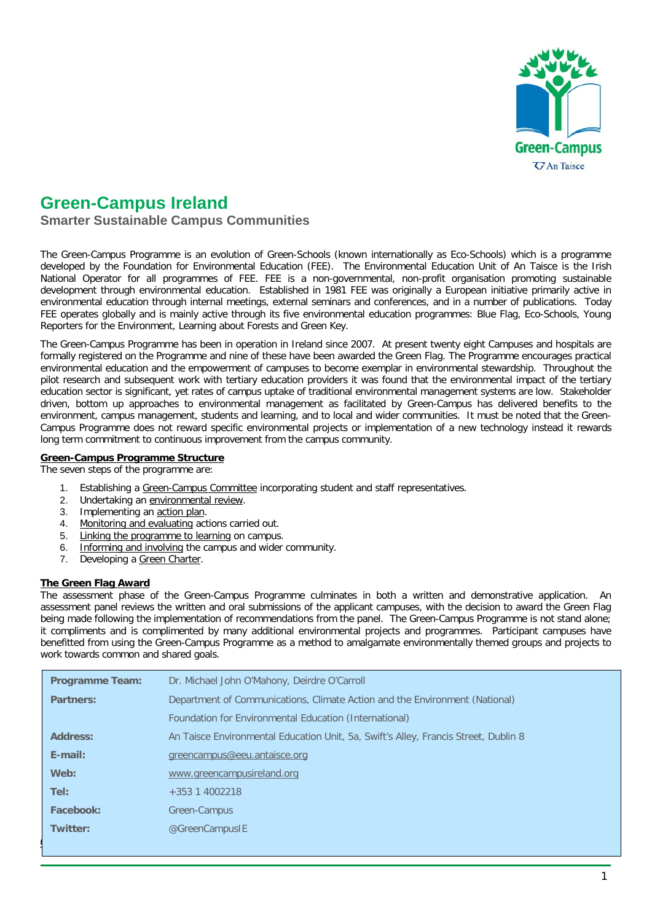

# **Green-Campus Ireland**

**Smarter Sustainable Campus Communities**

The Green-Campus Programme is an evolution of Green-Schools (known internationally as Eco-Schools) which is a programme developed by the Foundation for Environmental Education (FEE). The Environmental Education Unit of An Taisce is the Irish National Operator for all programmes of FEE. FEE is a non-governmental, non-profit organisation promoting sustainable development through environmental education. Established in 1981 FEE was originally a European initiative primarily active in environmental education through internal meetings, external seminars and conferences, and in a number of publications. Today FEE operates globally and is mainly active through its five environmental education programmes: Blue Flag, Eco-Schools, Young Reporters for the Environment, Learning about Forests and Green Key.

The Green-Campus Programme has been in operation in Ireland since 2007. At present twenty eight Campuses and hospitals are formally registered on the Programme and nine of these have been awarded the Green Flag. The Programme encourages practical environmental education and the empowerment of campuses to become exemplar in environmental stewardship. Throughout the pilot research and subsequent work with tertiary education providers it was found that the environmental impact of the tertiary education sector is significant, yet rates of campus uptake of traditional environmental management systems are low. Stakeholder driven, bottom up approaches to environmental management as facilitated by Green-Campus has delivered benefits to the environment, campus management, students and learning, and to local and wider communities. It must be noted that the Green-Campus Programme does not reward specific environmental projects or implementation of a new technology instead it rewards long term commitment to continuous improvement from the campus community.

#### **Green-Campus Programme Structure**

The seven steps of the programme are:

- 1. Establishing a Green-Campus Committee incorporating student and staff representatives.
- 2. Undertaking an environmental review.
- 3. Implementing an action plan.
- 4. Monitoring and evaluating actions carried out.
- 5. Linking the programme to learning on campus.
- 6. Informing and involving the campus and wider community.
- 7. Developing a Green Charter.

#### **The Green Flag Award**

The assessment phase of the Green-Campus Programme culminates in both a written and demonstrative application. An assessment panel reviews the written and oral submissions of the applicant campuses, with the decision to award the Green Flag being made following the implementation of recommendations from the panel. The Green-Campus Programme is not stand alone; it compliments and is complimented by many additional environmental projects and programmes. Participant campuses have benefitted from using the Green-Campus Programme as a method to amalgamate environmentally themed groups and projects to work towards common and shared goals.

| <b>Programme Team:</b> | Dr. Michael John O'Mahony, Deirdre O'Carroll                                        |  |  |  |
|------------------------|-------------------------------------------------------------------------------------|--|--|--|
| <b>Partners:</b>       | Department of Communications, Climate Action and the Environment (National)         |  |  |  |
|                        | Foundation for Environmental Education (International)                              |  |  |  |
| <b>Address:</b>        | An Taisce Environmental Education Unit, 5a, Swift's Alley, Francis Street, Dublin 8 |  |  |  |
| $E$ -mail:             | greencampus@eeu.antaisce.org                                                        |  |  |  |
| Web:                   | www.greencampusireland.org                                                          |  |  |  |
| Tel:                   | $+353$ 1 4002218                                                                    |  |  |  |
| Facebook:              | Green-Campus                                                                        |  |  |  |
| <b>Twitter:</b>        | @GreenCampusIE                                                                      |  |  |  |
|                        |                                                                                     |  |  |  |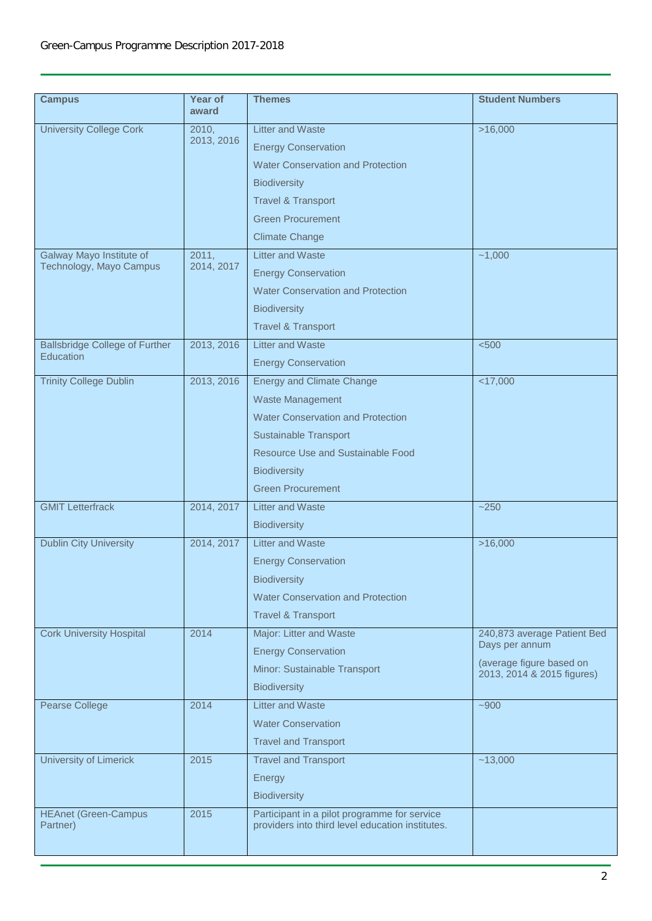## Green-Campus Programme Description 2017-2018

| <b>Campus</b>                                       | Year of<br>award    | <b>Themes</b>                                                                                    | <b>Student Numbers</b>                                 |
|-----------------------------------------------------|---------------------|--------------------------------------------------------------------------------------------------|--------------------------------------------------------|
| <b>University College Cork</b>                      | 2010,<br>2013, 2016 | <b>Litter and Waste</b><br><b>Energy Conservation</b>                                            | >16,000                                                |
|                                                     |                     | <b>Water Conservation and Protection</b>                                                         |                                                        |
|                                                     |                     | <b>Biodiversity</b>                                                                              |                                                        |
|                                                     |                     | <b>Travel &amp; Transport</b>                                                                    |                                                        |
|                                                     |                     | <b>Green Procurement</b>                                                                         |                                                        |
|                                                     |                     | <b>Climate Change</b>                                                                            |                                                        |
| Galway Mayo Institute of<br>Technology, Mayo Campus | 2011,<br>2014, 2017 | <b>Litter and Waste</b>                                                                          | $-1,000$                                               |
|                                                     |                     | <b>Energy Conservation</b>                                                                       |                                                        |
|                                                     |                     | <b>Water Conservation and Protection</b>                                                         |                                                        |
|                                                     |                     | <b>Biodiversity</b>                                                                              |                                                        |
|                                                     |                     | <b>Travel &amp; Transport</b>                                                                    |                                                        |
| <b>Ballsbridge College of Further</b>               | 2013, 2016          | <b>Litter and Waste</b>                                                                          | < 500                                                  |
| Education                                           |                     | <b>Energy Conservation</b>                                                                       |                                                        |
| <b>Trinity College Dublin</b>                       | 2013, 2016          | <b>Energy and Climate Change</b>                                                                 | $<$ 17,000                                             |
|                                                     |                     | <b>Waste Management</b>                                                                          |                                                        |
|                                                     |                     | <b>Water Conservation and Protection</b>                                                         |                                                        |
|                                                     |                     | Sustainable Transport                                                                            |                                                        |
|                                                     |                     | <b>Resource Use and Sustainable Food</b>                                                         |                                                        |
|                                                     |                     | <b>Biodiversity</b>                                                                              |                                                        |
|                                                     |                     | <b>Green Procurement</b>                                                                         |                                                        |
| <b>GMIT Letterfrack</b>                             | 2014, 2017          | <b>Litter and Waste</b>                                                                          | $-250$                                                 |
|                                                     |                     | <b>Biodiversity</b>                                                                              |                                                        |
| <b>Dublin City University</b>                       | 2014, 2017          | <b>Litter and Waste</b>                                                                          | >16,000                                                |
|                                                     |                     | <b>Energy Conservation</b>                                                                       |                                                        |
|                                                     |                     | <b>Biodiversity</b>                                                                              |                                                        |
|                                                     |                     | Water Conservation and Protection                                                                |                                                        |
|                                                     |                     | <b>Travel &amp; Transport</b>                                                                    |                                                        |
| <b>Cork University Hospital</b>                     | 2014                | Major: Litter and Waste                                                                          | 240,873 average Patient Bed                            |
|                                                     |                     | <b>Energy Conservation</b>                                                                       | Days per annum                                         |
|                                                     |                     | Minor: Sustainable Transport                                                                     | (average figure based on<br>2013, 2014 & 2015 figures) |
|                                                     |                     | <b>Biodiversity</b>                                                                              |                                                        |
| Pearse College                                      | 2014                | <b>Litter and Waste</b>                                                                          | $-900$                                                 |
|                                                     |                     | <b>Water Conservation</b>                                                                        |                                                        |
|                                                     |                     | <b>Travel and Transport</b>                                                                      |                                                        |
| <b>University of Limerick</b>                       | 2015                | <b>Travel and Transport</b>                                                                      | ~13,000                                                |
|                                                     |                     | Energy                                                                                           |                                                        |
|                                                     |                     | <b>Biodiversity</b>                                                                              |                                                        |
| <b>HEAnet (Green-Campus</b><br>Partner)             | 2015                | Participant in a pilot programme for service<br>providers into third level education institutes. |                                                        |
|                                                     |                     |                                                                                                  |                                                        |